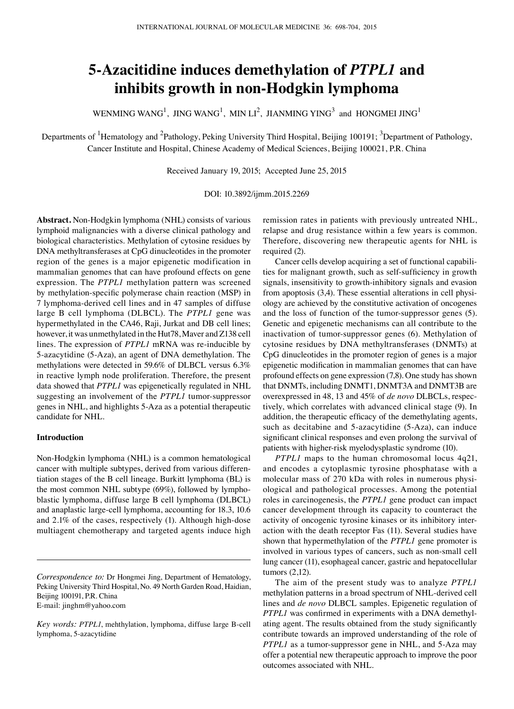# **5-Azacitidine induces demethylation of** *PTPL1* **and inhibits growth in non-Hodgkin lymphoma**

WENMING WANG<sup>1</sup>, JING WANG<sup>1</sup>, MIN LI<sup>2</sup>, JIANMING YING<sup>3</sup> and HONGMEI JING<sup>1</sup>

Departments of <sup>1</sup>Hematology and <sup>2</sup>Pathology, Peking University Third Hospital, Beijing 100191; <sup>3</sup>Department of Pathology, Cancer Institute and Hospital, Chinese Academy of Medical Sciences, Beijing 100021, P.R. China

Received January 19, 2015; Accepted June 25, 2015

### DOI: 10.3892/ijmm.2015.2269

**Abstract.** Non-Hodgkin lymphoma (NHL) consists of various lymphoid malignancies with a diverse clinical pathology and biological characteristics. Methylation of cytosine residues by DNA methyltransferases at CpG dinucleotides in the promoter region of the genes is a major epigenetic modification in mammalian genomes that can have profound effects on gene expression. The *PTPL1* methylation pattern was screened by methylation‑specific polymerase chain reaction (MSP) in 7 lymphoma-derived cell lines and in 47 samples of diffuse large B cell lymphoma (DLBCL). The *PTPL1* gene was hypermethylated in the CA46, Raji, Jurkat and DB cell lines; however, it was unmethylated in the Hut78, Maver and Z138 cell lines. The expression of *PTPL1* mRNA was re-inducible by 5-azacytidine (5-Aza), an agent of DNA demethylation. The methylations were detected in 59.6% of DLBCL versus 6.3% in reactive lymph node proliferation. Therefore, the present data showed that *PTPL1* was epigenetically regulated in NHL suggesting an involvement of the *PTPL1* tumor-suppressor genes in NHL, and highlights 5-Aza as a potential therapeutic candidate for NHL.

## **Introduction**

Non-Hodgkin lymphoma (NHL) is a common hematological cancer with multiple subtypes, derived from various differentiation stages of the B cell lineage. Burkitt lymphoma (BL) is the most common NHL subtype (69%), followed by lymphoblastic lymphoma, diffuse large B cell lymphoma (DLBCL) and anaplastic large-cell lymphoma, accounting for 18.3, 10.6 and 2.1% of the cases, respectively (1). Although high-dose multiagent chemotherapy and targeted agents induce high remission rates in patients with previously untreated NHL, relapse and drug resistance within a few years is common. Therefore, discovering new therapeutic agents for NHL is required (2).

Cancer cells develop acquiring a set of functional capabilities for malignant growth, such as self‑sufficiency in growth signals, insensitivity to growth-inhibitory signals and evasion from apoptosis (3,4). These essential alterations in cell physiology are achieved by the constitutive activation of oncogenes and the loss of function of the tumor-suppressor genes (5). Genetic and epigenetic mechanisms can all contribute to the inactivation of tumor-suppressor genes (6). Methylation of cytosine residues by DNA methyltransferases (DNMTs) at CpG dinucleotides in the promoter region of genes is a major epigenetic modification in mammalian genomes that can have profound effects on gene expression (7,8). One study has shown that DNMTs, including DNMT1, DNMT3A and DNMT3B are overexpressed in 48, 13 and 45% of *de novo* DLBCLs, respectively, which correlates with advanced clinical stage (9). In addition, the therapeutic efficacy of the demethylating agents, such as decitabine and 5-azacytidine (5-Aza), can induce significant clinical responses and even prolong the survival of patients with higher-risk myelodysplastic syndrome (10).

*PTPL1* maps to the human chromosomal locus 4q21, and encodes a cytoplasmic tyrosine phosphatase with a molecular mass of 270 kDa with roles in numerous physiological and pathological processes. Among the potential roles in carcinogenesis, the *PTPL1* gene product can impact cancer development through its capacity to counteract the activity of oncogenic tyrosine kinases or its inhibitory interaction with the death receptor Fas (11). Several studies have shown that hypermethylation of the *PTPL1* gene promoter is involved in various types of cancers, such as non-small cell lung cancer (11), esophageal cancer, gastric and hepatocellular tumors (2,12).

The aim of the present study was to analyze *PTPL1* methylation patterns in a broad spectrum of NHL-derived cell lines and *de novo* DLBCL samples. Epigenetic regulation of *PTPL1* was confirmed in experiments with a DNA demethylating agent. The results obtained from the study significantly contribute towards an improved understanding of the role of *PTPL1* as a tumor-suppressor gene in NHL, and 5-Aza may offer a potential new therapeutic approach to improve the poor outcomes associated with NHL.

*Correspondence to:* Dr Hongmei Jing, Department of Hematology, Peking University Third Hospital, No. 49 North Garden Road, Haidian, Beijing 100191, P.R. China E-mail: jinghm@yahoo.com

*Key words: PTPL1*, mehthylation, lymphoma, diffuse large B-cell lymphoma, 5-azacytidine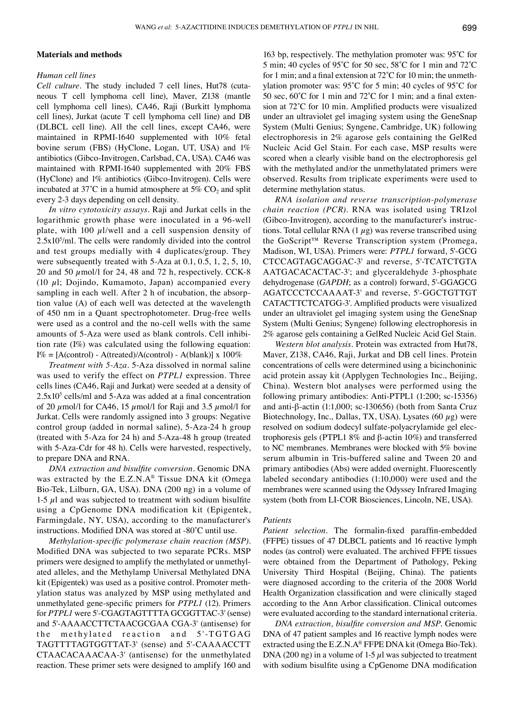### **Materials and methods**

## *Human cell lines*

*Cell culture.* The study included 7 cell lines, Hut78 (cutaneous T cell lymphoma cell line), Maver, Z138 (mantle cell lymphoma cell lines), CA46, Raji (Burkitt lymphoma cell lines), Jurkat (acute T cell lymphoma cell line) and DB (DLBCL cell line). All the cell lines, except CA46, were maintained in RPMI-1640 supplemented with 10% fetal bovine serum (FBS) (HyClone, Logan, UT, USA) and 1% antibiotics (Gibco-Invitrogen, Carlsbad, CA, USA). CA46 was maintained with RPMI-1640 supplemented with 20% FBS (HyClone) and 1% antibiotics (Gibco-Invitrogen). Cells were incubated at  $37^{\circ}$ C in a humid atmosphere at  $5\%$  CO<sub>2</sub> and split every 2-3 days depending on cell density.

*In vitro cytotoxicity assays.* Raji and Jurkat cells in the logarithmic growth phase were inoculated in a 96-well plate, with 100  $\mu$ l/well and a cell suspension density of  $2.5x10<sup>5</sup>/ml$ . The cells were randomly divided into the control and test groups medially with 4 duplicates/group. They were subsequently treated with 5-Aza at 0.1, 0.5, 1, 2, 5, 10, 20 and 50  $\mu$ mol/l for 24, 48 and 72 h, respectively. CCK-8 (10  $\mu$ l; Dojindo, Kumamoto, Japan) accompanied every sampling in each well. After 2 h of incubation, the absorption value (A) of each well was detected at the wavelength of 450 nm in a Quant spectrophotometer. Drug-free wells were used as a control and the no-cell wells with the same amounts of 5-Aza were used as blank controls. Cell inhibition rate (I%) was calculated using the following equation:  $I\% = [A(control) - A(treated)/A(control) - A(blank)] \times 100\%$ 

*Treatment with 5-Aza.* 5-Aza dissolved in normal saline was used to verify the effect on *PTPL1* expression. Three cells lines (CA46, Raji and Jurkat) were seeded at a density of  $2.5x10<sup>5</sup>$  cells/ml and 5-Aza was added at a final concentration of 20  $\mu$ mol/l for CA46, 15  $\mu$ mol/l for Raji and 3.5  $\mu$ mol/l for Jurkat. Cells were randomly assigned into 3 groups: Negative control group (added in normal saline), 5-Aza-24 h group (treated with 5-Aza for 24 h) and 5-Aza-48 h group (treated with 5-Aza-Cdr for 48 h). Cells were harvested, respectively, to prepare DNA and RNA.

*DNA extraction and bisulfite conversion.* Genomic DNA was extracted by the E.Z.N.A® Tissue DNA kit (Omega Bio‑Tek, Lilburn, GA, USA). DNA (200 ng) in a volume of 1-5  $\mu$ l and was subjected to treatment with sodium bisulfite using a CpGenome DNA modification kit (Epigentek, Farmingdale, NY, USA), according to the manufacturer's instructions. Modified DNA was stored at ‑80˚C until use.

*Methylation‑specific polymerase chain reaction (MSP).*  Modified DNA was subjected to two separate PCRs. MSP primers were designed to amplify the methylated or unmethylated alleles, and the Methylamp Universal Methylated DNA kit (Epigentek) was used as a positive control. Promoter methylation status was analyzed by MSP using methylated and unmethylated gene‑specific primers for *PTPL1* (12). Primers for *PTPL1* were 5'‑CGAGTAGTTTTA GCGGTTAC‑3' (sense) and 5'‑AAAACCTTCTAACGCGAA CGA‑3' (antisense) for the methylated reaction and 5'-TGTGAG TAGTTTTAGTGGTTAT‑3' (sense) and 5'‑CAAAACCTT CTAACACAAACAA‑3' (antisense) for the unmethylated reaction. These primer sets were designed to amplify 160 and

163 bp, respectively. The methylation promoter was: 95˚C for 5 min; 40 cycles of 95˚C for 50 sec, 58˚C for 1 min and 72˚C for 1 min; and a final extension at 72˚C for 10 min; the unmethylation promoter was: 95˚C for 5 min; 40 cycles of 95˚C for 50 sec,  $60^{\circ}$ C for 1 min and 72°C for 1 min; and a final extension at 72˚C for 10 min. Amplified products were visualized under an ultraviolet gel imaging system using the GeneSnap System (Multi Genius; Syngene, Cambridge, UK) following electrophoresis in 2% agarose gels containing the GelRed Nucleic Acid Gel Stain. For each case, MSP results were scored when a clearly visible band on the electrophoresis gel with the methylated and/or the unmethylatated primers were observed. Results from triplicate experiments were used to determine methylation status.

*RNA isolation and reverse transcription‑polymerase chain reaction (PCR).* RNA was isolated using TRIzol (Gibco‑Invitrogen), according to the manufacturer's instructions. Total cellular RNA  $(1 \mu g)$  was reverse transcribed using the GoScript™ Reverse Transcription system (Promega, Madison, WI, USA). Primers were: *PTPL1* forward, 5'‑GCG CTCCAGTAGCAGGAC‑3' and reverse, 5'‑TCATCTGTA AATGACACACTAC‑3'; and glyceraldehyde 3‑phosphate dehydrogenase (*GAPDH*; as a control) forward, 5'‑GGAGCG AGATCCCTCCAAAAT‑3' and reverse, 5'‑GGCTGTTGT CATACTTCTCATGG‑3'. Amplified products were visualized under an ultraviolet gel imaging system using the GeneSnap System (Multi Genius; Syngene) following electrophoresis in 2% agarose gels containing a GelRed Nucleic Acid Gel Stain.

*Western blot analysis.* Protein was extracted from Hut78, Maver, Z138, CA46, Raji, Jurkat and DB cell lines. Protein concentrations of cells were determined using a bicinchoninic acid protein assay kit (Applygen Technologies Inc., Beijing, China). Western blot analyses were performed using the following primary antibodies: Anti-PTPL1 (1:200; sc-15356) and anti-β‑actin (1:1,000; sc‑130656) (both from Santa Cruz Biotechnology, Inc., Dallas, TX, USA). Lysates (60  $\mu$ g) were resolved on sodium dodecyl sulfate-polyacrylamide gel electrophoresis gels (PTPL1 8% and β-actin 10%) and transferred to NC membranes. Membranes were blocked with 5% bovine serum albumin in Tris-buffered saline and Tween 20 and primary antibodies (Abs) were added overnight. Fluorescently labeled secondary antibodies (1:10,000) were used and the membranes were scanned using the Odyssey Infrared Imaging system (both from LI‑COR Biosciences, Lincoln, NE, USA).

#### *Patients*

*Patient selection*. The formalin-fixed paraffin-embedded (FFPE) tissues of 47 DLBCL patients and 16 reactive lymph nodes (as control) were evaluated. The archived FFPE tissues were obtained from the Department of Pathology, Peking University Third Hospital (Beijing, China). The patients were diagnosed according to the criteria of the 2008 World Health Organization classification and were clinically staged according to the Ann Arbor classification. Clinical outcomes were evaluated according to the standard international criteria.

*DNA extraction, bisulfite conversion and MSP.* Genomic DNA of 47 patient samples and 16 reactive lymph nodes were extracted using the E.Z.N.A<sup>®</sup> FFPE DNA kit (Omega Bio-Tek). DNA (200 ng) in a volume of 1-5  $\mu$ l was subjected to treatment with sodium bisulfite using a CpGenome DNA modification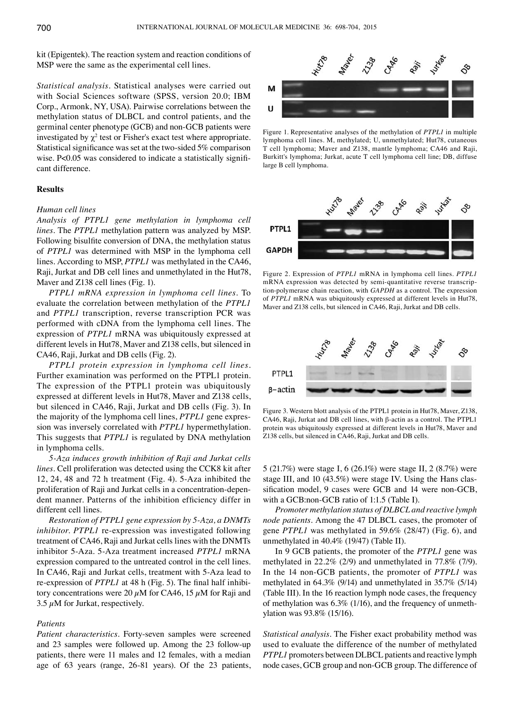kit (Epigentek). The reaction system and reaction conditions of MSP were the same as the experimental cell lines.

*Statistical analysis.* Statistical analyses were carried out with Social Sciences software (SPSS, version 20.0; IBM Corp., Armonk, NY, USA). Pairwise correlations between the methylation status of DLBCL and control patients, and the germinal center phenotype (GCB) and non-GCB patients were investigated by  $\chi^2$  test or Fisher's exact test where appropriate. Statistical significance was set at the two-sided 5% comparison wise. P<0.05 was considered to indicate a statistically significant difference.

### **Results**

#### *Human cell lines*

*Analysis of PTPL1 gene methylation in lymphoma cell lines.* The *PTPL1* methylation pattern was analyzed by MSP. Following bisulfite conversion of DNA, the methylation status of *PTPL1* was determined with MSP in the lymphoma cell lines. According to MSP, *PTPL1* was methylated in the CA46, Raji, Jurkat and DB cell lines and unmethylated in the Hut78, Maver and Z138 cell lines (Fig. 1).

*PTPL1 mRNA expression in lymphoma cell lines.* To evaluate the correlation between methylation of the *PTPL1* and *PTPL1* transcription, reverse transcription PCR was performed with cDNA from the lymphoma cell lines. The expression of *PTPL1* mRNA was ubiquitously expressed at different levels in Hut78, Maver and Z138 cells, but silenced in CA46, Raji, Jurkat and DB cells (Fig. 2).

*PTPL1 protein expression in lymphoma cell lines.*  Further examination was performed on the PTPL1 protein. The expression of the PTPL1 protein was ubiquitously expressed at different levels in Hut78, Maver and Z138 cells, but silenced in CA46, Raji, Jurkat and DB cells (Fig. 3). In the majority of the lymphoma cell lines, *PTPL1* gene expression was inversely correlated with *PTPL1* hypermethylation. This suggests that *PTPL1* is regulated by DNA methylation in lymphoma cells.

*5‑Aza induces growth inhibition of Raji and Jurkat cells lines.* Cell proliferation was detected using the CCK8 kit after 12, 24, 48 and 72 h treatment (Fig. 4). 5-Aza inhibited the proliferation of Raji and Jurkat cells in a concentration-dependent manner. Patterns of the inhibition efficiency differ in different cell lines.

*Restoration of PTPL1 gene expression by 5‑Aza, a DNMTs inhibitor. PTPL1* re-expression was investigated following treatment of CA46, Raji and Jurkat cells lines with the DNMTs inhibitor 5-Aza. 5-Aza treatment increased *PTPL1* mRNA expression compared to the untreated control in the cell lines. In CA46, Raji and Jurkat cells, treatment with 5-Aza lead to re-expression of *PTPL1* at 48 h (Fig. 5). The final half inhibitory concentrations were 20  $\mu$ M for CA46, 15  $\mu$ M for Raji and 3.5  $\mu$ M for Jurkat, respectively.

## *Patients*

*Patient characteristics.* Forty-seven samples were screened and 23 samples were followed up. Among the 23 follow-up patients, there were 11 males and 12 females, with a median age of 63 years (range, 26-81 years). Of the 23 patients,



Figure 1. Representative analyses of the methylation of *PTPL1* in multiple lymphoma cell lines. M, methylated; U, unmethylated; Hut78, cutaneous T cell lymphoma; Maver and Z138, mantle lymphoma; CA46 and Raji, Burkitt's lymphoma; Jurkat, acute T cell lymphoma cell line; DB, diffuse large B cell lymphoma.



Figure 2. Expression of *PTPL1* mRNA in lymphoma cell lines. *PTPL1* mRNA expression was detected by semi-quantitative reverse transcription-polymerase chain reaction, with *GAPDH* as a control. The expression of *PTPL1* mRNA was ubiquitously expressed at different levels in Hut78, Maver and Z138 cells, but silenced in CA46, Raji, Jurkat and DB cells.



Figure 3. Western blott analysis of the PTPL1 protein in Hut78, Maver, Z138, CA46, Raji, Jurkat and DB cell lines, with β-actin as a control. The PTPL1 protein was ubiquitously expressed at different levels in Hut78, Maver and Z138 cells, but silenced in CA46, Raji, Jurkat and DB cells.

5 (21.7%) were stage I, 6 (26.1%) were stage II, 2 (8.7%) were stage III, and 10 (43.5%) were stage IV. Using the Hans classification model, 9 cases were GCB and 14 were non-GCB, with a GCB:non-GCB ratio of 1:1.5 (Table I).

*Promoter methylation status of DLBCL and reactive lymph node patients.* Among the 47 DLBCL cases, the promoter of gene *PTPL1* was methylated in 59.6% (28/47) (Fig. 6), and unmethylated in 40.4% (19/47) (Table II).

In 9 GCB patients, the promoter of the *PTPL1* gene was methylated in 22.2% (2/9) and unmethylated in 77.8% (7/9). In the 14 non-GCB patients, the promoter of *PTPL1* was methylated in 64.3% (9/14) and unmethylated in 35.7% (5/14) (Table III). In the 16 reaction lymph node cases, the frequency of methylation was 6.3% (1/16), and the frequency of unmethylation was 93.8% (15/16).

*Statistical analysis.* The Fisher exact probability method was used to evaluate the difference of the number of methylated *PTPL1* promoters between DLBCL patients and reactive lymph node cases, GCB group and non-GCB group. The difference of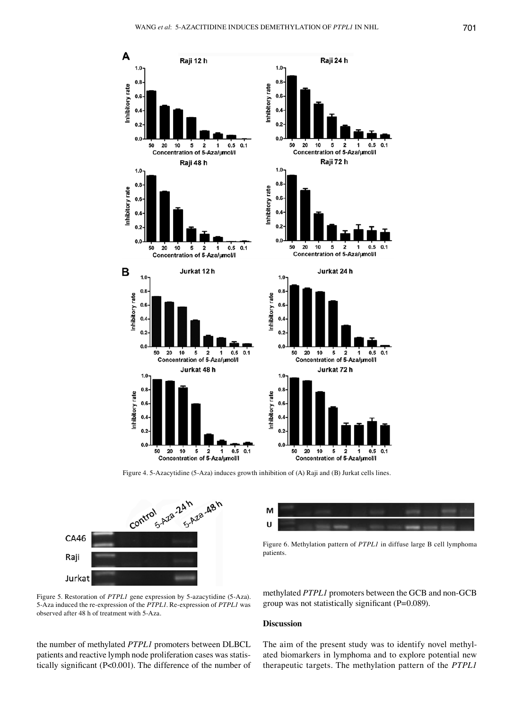

Figure 4. 5-Azacytidine (5-Aza) induces growth inhibition of (A) Raji and (B) Jurkat cells lines.





Figure 6. Methylation pattern of *PTPL1* in diffuse large B cell lymphoma patients.

Figure 5. Restoration of *PTPL1* gene expression by 5-azacytidine (5-Aza). 5-Aza induced the re-expression of the *PTPL1*. Re-expression of *PTPL1* was observed after 48 h of treatment with 5-Aza.

methylated *PTPL1* promoters between the GCB and non-GCB group was not statistically significant (P=0.089).

## **Discussion**

the number of methylated *PTPL1* promoters between DLBCL patients and reactive lymph node proliferation cases was statistically significant (P<0.001). The difference of the number of The aim of the present study was to identify novel methylated biomarkers in lymphoma and to explore potential new therapeutic targets. The methylation pattern of the *PTPL1*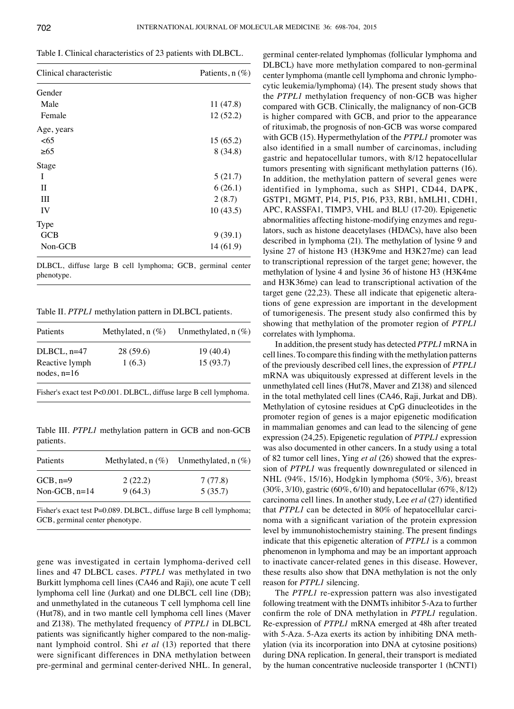Table I. Clinical characteristics of 23 patients with DLBCL.

| Clinical characteristic | Patients, $n$ (%) |
|-------------------------|-------------------|
| Gender                  |                   |
| Male                    | 11(47.8)          |
| Female                  | 12(52.2)          |
| Age, years              |                   |
| < 65                    | 15(65.2)          |
| >65                     | 8(34.8)           |
| Stage                   |                   |
| I                       | 5(21.7)           |
| П                       | 6(26.1)           |
| Ш                       | 2(8.7)            |
| IV                      | 10(43.5)          |
| <b>Type</b>             |                   |
| GCB                     | 9(39.1)           |
| Non-GCB                 | 14(61.9)          |

DLBCL, diffuse large B cell lymphoma; GCB, germinal center phenotype.

Table II. *PTPL1* methylation pattern in DLBCL patients.

| Patients                        | Methylated, $n$ (%) | Unmethylated, $n$ (%)                                              |
|---------------------------------|---------------------|--------------------------------------------------------------------|
| $DLBCL, n=47$                   | 28 (59.6)           | 19 (40.4)                                                          |
| Reactive lymph<br>nodes, $n=16$ | 1(6.3)              | 15(93.7)                                                           |
|                                 |                     | Fisher's exact test P<0.001. DLBCL, diffuse large B cell lymphoma. |

Table III. *PTPL1* methylation pattern in GCB and non-GCB patients.

| Patients        |         | Methylated, $n$ (%) Unmethylated, $n$ (%) |
|-----------------|---------|-------------------------------------------|
| $GCB, n=9$      | 2(22.2) | 7(77.8)                                   |
| Non-GCB, $n=14$ | 9(64.3) | 5(35.7)                                   |

Fisher's exact test P=0.089. DLBCL, diffuse large B cell lymphoma; GCB, germinal center phenotype.

gene was investigated in certain lymphoma-derived cell lines and 47 DLBCL cases. *PTPL1* was methylated in two Burkitt lymphoma cell lines (CA46 and Raji), one acute T cell lymphoma cell line (Jurkat) and one DLBCL cell line (DB); and unmethylated in the cutaneous T cell lymphoma cell line (Hut78), and in two mantle cell lymphoma cell lines (Maver and Z138). The methylated frequency of *PTPL1* in DLBCL patients was significantly higher compared to the non-malignant lymphoid control. Shi *et al* (13) reported that there were significant differences in DNA methylation between pre-germinal and germinal center-derived NHL. In general, germinal center-related lymphomas (follicular lymphoma and DLBCL) have more methylation compared to non-germinal center lymphoma (mantle cell lymphoma and chronic lymphocytic leukemia/lymphoma) (14). The present study shows that the *PTPL1* methylation frequency of non-GCB was higher compared with GCB. Clinically, the malignancy of non-GCB is higher compared with GCB, and prior to the appearance of rituximab, the prognosis of non-GCB was worse compared with GCB (15). Hypermethylation of the *PTPL1* promoter was also identified in a small number of carcinomas, including gastric and hepatocellular tumors, with 8/12 hepatocellular tumors presenting with significant methylation patterns (16). In addition, the methylation pattern of several genes were identified in lymphoma, such as SHP1, CD44, DAPK, GSTP1, MGMT, P14, P15, P16, P33, RB1, hMLH1, CDH1, APC, RASSFA1, TIMP3, VHL and BLU (17‑20). Epigenetic abnormalities affecting histone-modifying enzymes and regulators, such as histone deacetylases (HDACs), have also been described in lymphoma (21). The methylation of lysine 9 and lysine 27 of histone H3 (H3K9me and H3K27me) can lead to transcriptional repression of the target gene; however, the methylation of lysine 4 and lysine 36 of histone H3 (H3K4me and H3K36me) can lead to transcriptional activation of the target gene (22,23). These all indicate that epigenetic alterations of gene expression are important in the development of tumorigenesis. The present study also confirmed this by showing that methylation of the promoter region of *PTPL1* correlates with lymphoma.

In addition, the present study has detected *PTPL1* mRNA in cell lines. To compare this finding with the methylation patterns of the previously described cell lines, the expression of *PTPL1* mRNA was ubiquitously expressed at different levels in the unmethylated cell lines (Hut78, Maver and Z138) and silenced in the total methylated cell lines (CA46, Raji, Jurkat and DB). Methylation of cytosine residues at CpG dinucleotides in the promoter region of genes is a major epigenetic modification in mammalian genomes and can lead to the silencing of gene expression (24,25). Epigenetic regulation of *PTPL1* expression was also documented in other cancers. In a study using a total of 82 tumor cell lines, Ying *et al* (26) showed that the expression of *PTPL1* was frequently downregulated or silenced in NHL (94%, 15/16), Hodgkin lymphoma (50%, 3/6), breast (30%, 3/10), gastric (60%, 6/10) and hepatocellular (67%, 8/12) carcinoma cell lines. In another study, Lee *et al* (27) identified that *PTPL1* can be detected in 80% of hepatocellular carcinoma with a significant variation of the protein expression level by immunohistochemistry staining. The present findings indicate that this epigenetic alteration of *PTPL1* is a common phenomenon in lymphoma and may be an important approach to inactivate cancer-related genes in this disease. However, these results also show that DNA methylation is not the only reason for *PTPL1* silencing.

The *PTPL1* re-expression pattern was also investigated following treatment with the DNMTs inhibitor 5-Aza to further confirm the role of DNA methylation in *PTPL1* regulation. Re-expression of *PTPL1* mRNA emerged at 48h after treated with 5-Aza. 5-Aza exerts its action by inhibiting DNA methylation (via its incorporation into DNA at cytosine positions) during DNA replication. In general, their transport is mediated by the human concentrative nucleoside transporter 1 (hCNT1)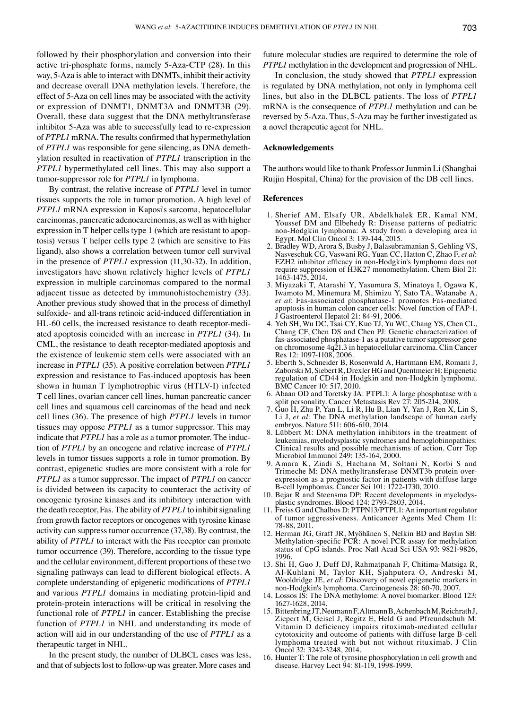followed by their phosphorylation and conversion into their active tri‑phosphate forms, namely 5‑Aza‑CTP (28). In this way, 5-Aza is able to interact with DNMTs, inhibit their activity and decrease overall DNA methylation levels. Therefore, the effect of 5-Aza on cell lines may be associated with the activity or expression of DNMT1, DNMT3A and DNMT3B (29). Overall, these data suggest that the DNA methyltransferase inhibitor 5-Aza was able to successfully lead to re-expression of *PTPL1* mRNA. The results confirmed that hypermethylation of *PTPL1* was responsible for gene silencing, as DNA demethylation resulted in reactivation of *PTPL1* transcription in the *PTPL1* hypermethylated cell lines. This may also support a tumor-suppressor role for *PTPL1* in lymphoma.

By contrast, the relative increase of *PTPL1* level in tumor tissues supports the role in tumor promotion. A high level of *PTPL1* mRNA expression in Kaposi's sarcoma, hepatocellular carcinomas, pancreatic adenocarcinomas, as well as with higher expression in T helper cells type 1 (which are resistant to apoptosis) versus T helper cells type 2 (which are sensitive to Fas ligand), also shows a correlation between tumor cell survival in the presence of *PTPL1* expression (11,30-32). In addition, investigators have shown relatively higher levels of *PTPL1* expression in multiple carcinomas compared to the normal adjacent tissue as detected by immunohistochemistry (33). Another previous study showed that in the process of dimethyl sulfoxide- and all-trans retinoic acid-induced differentiation in HL-60 cells, the increased resistance to death receptor-mediated apoptosis coincided with an increase in *PTPL1* (34). In CML, the resistance to death receptor-mediated apoptosis and the existence of leukemic stem cells were associated with an increase in *PTPL1* (35). A positive correlation between *PTPL1* expression and resistance to Fas-induced apoptosis has been shown in human T lymphotrophic virus (HTLV-I) infected T cell lines, ovarian cancer cell lines, human pancreatic cancer cell lines and squamous cell carcinomas of the head and neck cell lines (36). The presence of high *PTPL1* levels in tumor tissues may oppose *PTPL1* as a tumor suppressor. This may indicate that *PTPL1* has a role as a tumor promoter. The induction of *PTPL1* by an oncogene and relative increase of *PTPL1* levels in tumor tissues supports a role in tumor promotion. By contrast, epigenetic studies are more consistent with a role for *PTPL1* as a tumor suppressor. The impact of *PTPL1* on cancer is divided between its capacity to counteract the activity of oncogenic tyrosine kinases and its inhibitory interaction with the death receptor, Fas. The ability of *PTPL1* to inhibit signaling from growth factor receptors or oncogenes with tyrosine kinase activity can suppress tumor occurrence (37,38). By contrast, the ability of *PTPL1* to interact with the Fas receptor can promote tumor occurrence (39). Therefore, according to the tissue type and the cellular environment, different proportions of these two signaling pathways can lead to different biological effects. A complete understanding of epigenetic modifications of *PTPL1* and various *PTPL1* domains in mediating protein-lipid and protein-protein interactions will be critical in resolving the functional role of *PTPL1* in cancer. Establishing the precise function of *PTPL1* in NHL and understanding its mode of action will aid in our understanding of the use of *PTPL1* as a therapeutic target in NHL.

In the present study, the number of DLBCL cases was less, and that of subjects lost to follow-up was greater. More cases and future molecular studies are required to determine the role of *PTPL1* methylation in the development and progression of NHL.

In conclusion, the study showed that *PTPL1* expression is regulated by DNA methylation, not only in lymphoma cell lines, but also in the DLBCL patients. The loss of *PTPL1* mRNA is the consequence of *PTPL1* methylation and can be reversed by 5-Aza. Thus, 5-Aza may be further investigated as a novel therapeutic agent for NHL.

#### **Acknowledgements**

The authors would like to thank Professor Junmin Li (Shanghai Ruijin Hospital, China) for the provision of the DB cell lines.

#### **References**

- 1. Sherief AM, Elsafy UR, Abdelkhalek ER, Kamal NM, non-Hodgkin lymphoma: A study from a developing area in Egypt. Mol Clin Oncol 3: 139-144, 2015.
- 2. Bradley WD, Arora S, Busby J, Balasubramanian S, Gehling VS, Nasveschuk CG, Vaswani RG, Yuan CC, Hatton C, Zhao F, et al: EZH2 inhibitor efficacy in non-Hodgkin's lymphoma does not require suppression of H3K27 monomethylation. Chem Biol 21: 1463-1475, 2014.
- 3. Miyazaki T, Atarashi Y, Yasumura S, Minatoya I, Ogawa K, Iwamoto M, Minemura M, Shimizu Y, Sato TA, Watanabe A, *et al*: Fas-associated phosphatase-1 promotes Fas-mediated apoptosis in human colon cancer cells: Novel function of FAP‑1. J Gastroenterol Hepatol 21: 84-91, 2006.
- 4. Yeh SH, Wu DC, Tsai CY, Kuo TJ, Yu WC, Chang YS, Chen CL, Chang CF, Chen DS and Chen PJ: Genetic characterization of fas-associated phosphatase-1 as a putative tumor suppressor gene on chromosome 4q21.3 in hepatocellular carcinoma. Clin Cancer Res 12: 1097-1108, 2006.
- 5. Eberth S, Schneider B, Rosenwald A, Hartmann EM, Romani J, Zaborski M, Siebert R, Drexler HG and Quentmeier H: Epigenetic regulation of CD44 in Hodgkin and non-Hodgkin lymphoma. BMC Cancer 10: 517, 2010.
- 6. Abaan OD and Toretsky JA: PTPL1: A large phosphatase with a split personality. Cancer Metastasis Rev 27: 205-214, 2008.
- 7. Guo H, Zhu P, Yan L, Li R, Hu B, Lian Y, Yan J, Ren X, Lin S, Li J, *et al*: The DNA methylation landscape of human early embryos. Nature 511: 606-610, 2014.
- 8. Lübbert M: DNA methylation inhibitors in the treatment of leukemias, myelodysplastic syndromes and hemoglobinopathies: Clinical results and possible mechanisms of action. Curr Top Microbiol Immunol 249: 135-164, 2000.
- 9. Amara K, Ziadi S, Hachana M, Soltani N, Korbi S and Trimeche M: DNA methyltransferase DNMT3b protein overexpression as a prognostic factor in patients with diffuse large B‑cell lymphomas. Cancer Sci 101: 1722‑1730, 2010.
- 10. Bejar R and Steensma DP: Recent developments in myelodysplastic syndromes. Blood 124: 2793-2803, 2014.
- 11. Freiss G and Chalbos D: PTPN13/PTPL1: An important regulator of tumor aggressiveness. Anticancer Agents Med Chem 11: 78-88, 2011.
- 12. Herman JG, Graff JR, Myöhänen S, Nelkin BD and Baylin SB: Methylation-specific PCR: A novel PCR assay for methylation status of CpG islands. Proc Natl Acad Sci USA 93: 9821‑9826, 1996.
- 13. Shi H, Guo J, Duff DJ, Rahmatpanah F, Chitima‑Matsiga R, Al‑Kuhlani M, Taylor KH, Sjahputera O, Andreski M, Wooldridge JE, *et al*: Discovery of novel epigenetic markers in non‑Hodgkin's lymphoma. Carcinogenesis 28: 60‑70, 2007.
- 14. Lossos IS: The DNA methylome: A novel biomarker. Blood 123: 1627-1628, 2014.
- 15. Bittenbring JT, Neumann F, Altmann B, Achenbach M, ReichrathJ, Ziepert M, Geisel J, Regitz E, Held G and Pfreundschuh M: Vitamin D deficiency impairs rituximab-mediated cellular cytotoxicity and outcome of patients with diffuse large B-cell lymphoma treated with but not without rituximab. J Clin Oncol 32: 3242-3248, 2014.
- 16. Hunter T: The role of tyrosine phosphorylation in cell growth and disease. Harvey Lect 94: 81-119, 1998-1999.